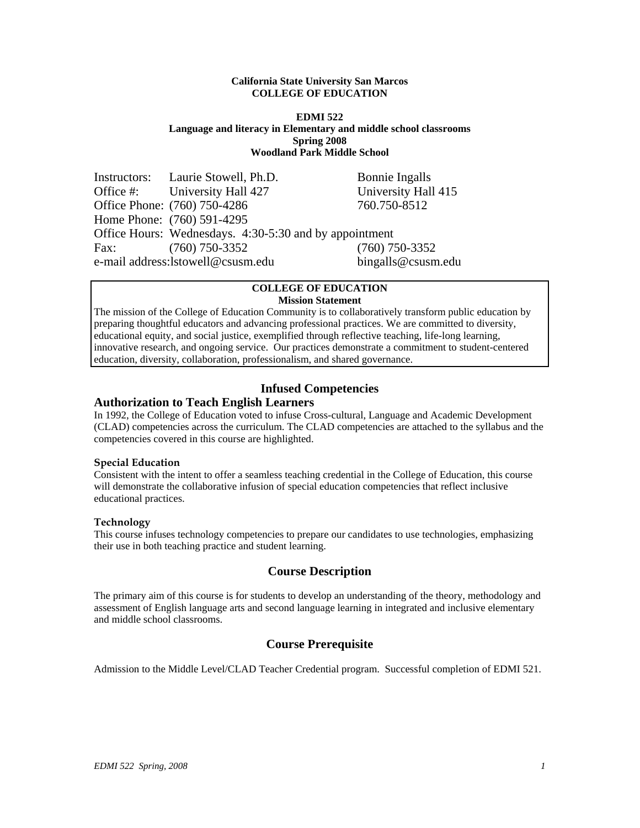#### **California State University San Marcos COLLEGE OF EDUCATION**

#### **EDMI 522 Language and literacy in Elementary and middle school classrooms Spring 2008 Woodland Park Middle School**

|                                                          | Instructors: Laurie Stowell, Ph.D.                     | Bonnie Ingalls      |
|----------------------------------------------------------|--------------------------------------------------------|---------------------|
|                                                          | Office #: University Hall 427                          | University Hall 415 |
|                                                          | Office Phone: (760) 750-4286                           | 760.750-8512        |
|                                                          | Home Phone: (760) 591-4295                             |                     |
|                                                          | Office Hours: Wednesdays. 4:30-5:30 and by appointment |                     |
| Fax:                                                     | $(760)$ 750-3352                                       | $(760)$ 750-3352    |
| bingalls@csusm.edu<br>e-mail address: lstowell@csusm.edu |                                                        |                     |

#### **COLLEGE OF EDUCATION Mission Statement**

The mission of the College of Education Community is to collaboratively transform public education by preparing thoughtful educators and advancing professional practices. We are committed to diversity, educational equity, and social justice, exemplified through reflective teaching, life-long learning, innovative research, and ongoing service. Our practices demonstrate a commitment to student-centered education, diversity, collaboration, professionalism, and shared governance.

# **Infused Competencies**

# **Authorization to Teach English Learners**

In 1992, the College of Education voted to infuse Cross-cultural, Language and Academic Development (CLAD) competencies across the curriculum. The CLAD competencies are attached to the syllabus and the competencies covered in this course are highlighted.

#### **Special Education**

Consistent with the intent to offer a seamless teaching credential in the College of Education, this course will demonstrate the collaborative infusion of special education competencies that reflect inclusive educational practices.

#### **Technology**

This course infuses technology competencies to prepare our candidates to use technologies, emphasizing their use in both teaching practice and student learning.

# **Course Description**

The primary aim of this course is for students to develop an understanding of the theory, methodology and assessment of English language arts and second language learning in integrated and inclusive elementary and middle school classrooms.

# **Course Prerequisite**

Admission to the Middle Level/CLAD Teacher Credential program. Successful completion of EDMI 521.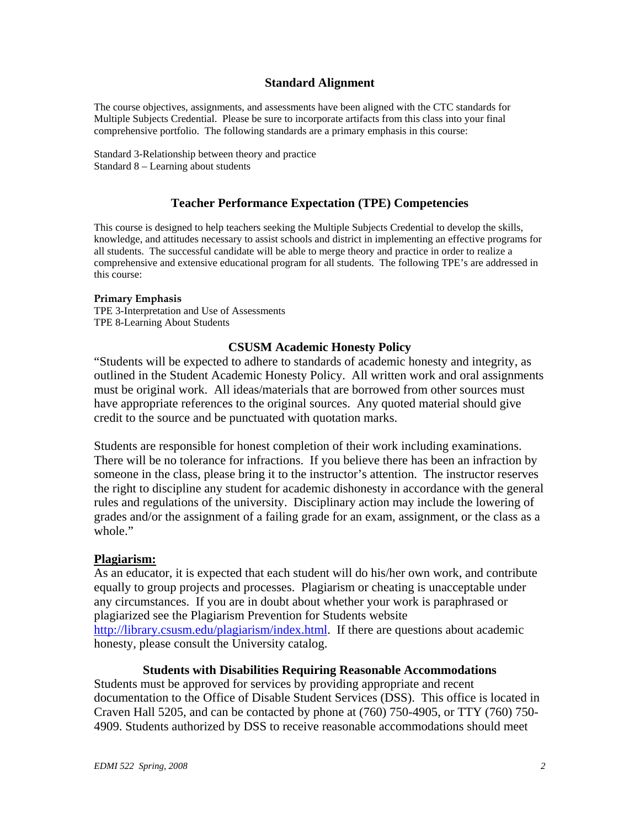# **Standard Alignment**

The course objectives, assignments, and assessments have been aligned with the CTC standards for Multiple Subjects Credential. Please be sure to incorporate artifacts from this class into your final comprehensive portfolio. The following standards are a primary emphasis in this course:

Standard 3-Relationship between theory and practice Standard 8 – Learning about students

# **Teacher Performance Expectation (TPE) Competencies**

This course is designed to help teachers seeking the Multiple Subjects Credential to develop the skills, knowledge, and attitudes necessary to assist schools and district in implementing an effective programs for all students. The successful candidate will be able to merge theory and practice in order to realize a comprehensive and extensive educational program for all students. The following TPE's are addressed in this course:

#### **Primary Emphasis**

TPE 3-Interpretation and Use of Assessments TPE 8-Learning About Students

#### **CSUSM Academic Honesty Policy**

"Students will be expected to adhere to standards of academic honesty and integrity, as outlined in the Student Academic Honesty Policy. All written work and oral assignments must be original work. All ideas/materials that are borrowed from other sources must have appropriate references to the original sources. Any quoted material should give credit to the source and be punctuated with quotation marks.

Students are responsible for honest completion of their work including examinations. There will be no tolerance for infractions. If you believe there has been an infraction by someone in the class, please bring it to the instructor's attention. The instructor reserves the right to discipline any student for academic dishonesty in accordance with the general rules and regulations of the university. Disciplinary action may include the lowering of grades and/or the assignment of a failing grade for an exam, assignment, or the class as a whole."

#### **Plagiarism:**

As an educator, it is expected that each student will do his/her own work, and contribute equally to group projects and processes. Plagiarism or cheating is unacceptable under any circumstances. If you are in doubt about whether your work is paraphrased or plagiarized see the Plagiarism Prevention for Students website http://library.csusm.edu/plagiarism/index.html. If there are questions about academic honesty, please consult the University catalog.

### **Students with Disabilities Requiring Reasonable Accommodations**

Students must be approved for services by providing appropriate and recent documentation to the Office of Disable Student Services (DSS). This office is located in Craven Hall 5205, and can be contacted by phone at (760) 750-4905, or TTY (760) 750- 4909. Students authorized by DSS to receive reasonable accommodations should meet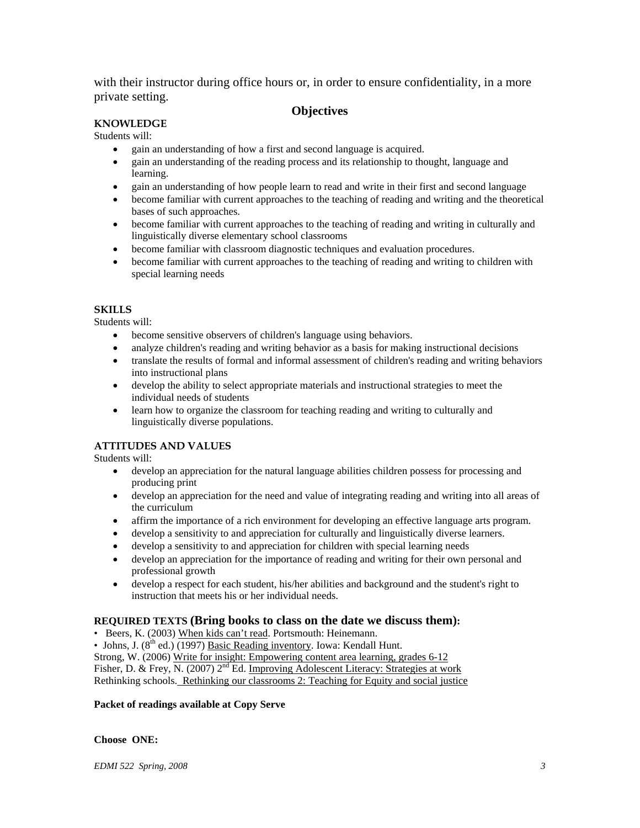with their instructor during office hours or, in order to ensure confidentiality, in a more private setting.

# **Objectives**

# **KNOWLEDGE**

#### Students will:

- gain an understanding of how a first and second language is acquired.
- gain an understanding of the reading process and its relationship to thought, language and learning.
- gain an understanding of how people learn to read and write in their first and second language
- become familiar with current approaches to the teaching of reading and writing and the theoretical bases of such approaches.
- become familiar with current approaches to the teaching of reading and writing in culturally and linguistically diverse elementary school classrooms
- become familiar with classroom diagnostic techniques and evaluation procedures.
- become familiar with current approaches to the teaching of reading and writing to children with special learning needs

#### **SKILLS**

Students will:

- become sensitive observers of children's language using behaviors.
- analyze children's reading and writing behavior as a basis for making instructional decisions
- translate the results of formal and informal assessment of children's reading and writing behaviors into instructional plans
- develop the ability to select appropriate materials and instructional strategies to meet the individual needs of students
- learn how to organize the classroom for teaching reading and writing to culturally and linguistically diverse populations.

#### **ATTITUDES AND VALUES**

Students will:

- develop an appreciation for the natural language abilities children possess for processing and producing print
- develop an appreciation for the need and value of integrating reading and writing into all areas of the curriculum
- affirm the importance of a rich environment for developing an effective language arts program.
- develop a sensitivity to and appreciation for culturally and linguistically diverse learners.
- develop a sensitivity to and appreciation for children with special learning needs
- develop an appreciation for the importance of reading and writing for their own personal and professional growth
- develop a respect for each student, his/her abilities and background and the student's right to instruction that meets his or her individual needs.

#### **REQUIRED TEXTS (Bring books to class on the date we discuss them):**

• Beers, K. (2003) When kids can't read. Portsmouth: Heinemann.

• Johns, J.  $(8^{th}$  ed.)  $(1997)$  Basic Reading inventory. Iowa: Kendall Hunt.

Strong, W. (2006) Write for insight: Empowering content area learning, grades 6-12

Fisher, D. & Frey, N. (2007) 2<sup>nd</sup> Ed. Improving Adolescent Literacy: Strategies at work

Rethinking schools. Rethinking our classrooms 2: Teaching for Equity and social justice

#### **Packet of readings available at Copy Serve**

#### **Choose ONE:**

*EDMI 522 Spring, 2008 3*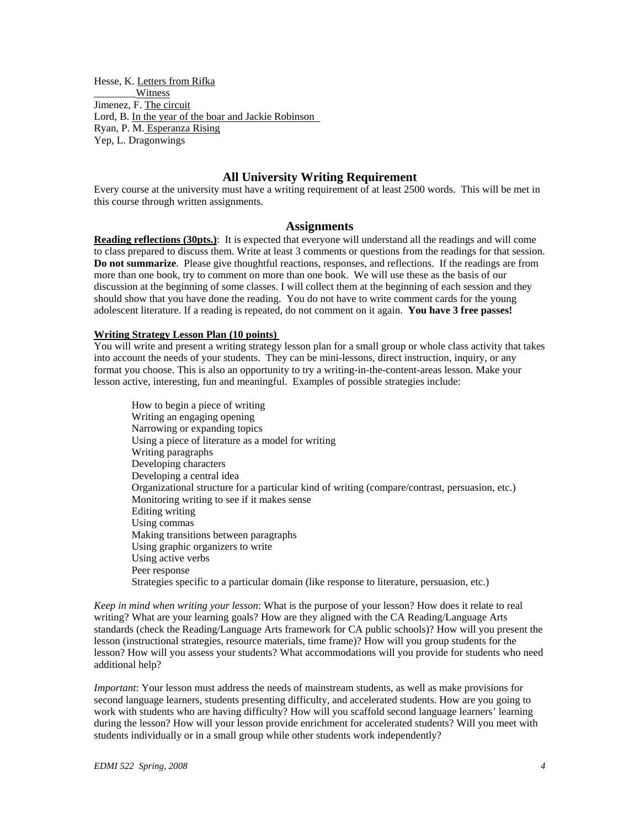Hesse, K. Letters from Rifka Witness Jimenez, F. The circuit Lord, B. In the year of the boar and Jackie Robinson Ryan, P. M. Esperanza Rising Yep, L. Dragonwings

### **All University Writing Requirement**

Every course at the university must have a writing requirement of at least 2500 words. This will be met in this course through written assignments.

#### **Assignments**

**Reading reflections (30pts.)**: It is expected that everyone will understand all the readings and will come to class prepared to discuss them. Write at least 3 comments or questions from the readings for that session. **Do not summarize**. Please give thoughtful reactions, responses, and reflections. If the readings are from more than one book, try to comment on more than one book. We will use these as the basis of our discussion at the beginning of some classes. I will collect them at the beginning of each session and they should show that you have done the reading. You do not have to write comment cards for the young adolescent literature. If a reading is repeated, do not comment on it again. **You have 3 free passes!** 

#### **Writing Strategy Lesson Plan (10 points)**

You will write and present a writing strategy lesson plan for a small group or whole class activity that takes into account the needs of your students. They can be mini-lessons, direct instruction, inquiry, or any format you choose. This is also an opportunity to try a writing-in-the-content-areas lesson. Make your lesson active, interesting, fun and meaningful. Examples of possible strategies include:

How to begin a piece of writing Writing an engaging opening Narrowing or expanding topics Using a piece of literature as a model for writing Writing paragraphs Developing characters Developing a central idea Organizational structure for a particular kind of writing (compare/contrast, persuasion, etc.) Monitoring writing to see if it makes sense Editing writing Using commas Making transitions between paragraphs Using graphic organizers to write Using active verbs Peer response Strategies specific to a particular domain (like response to literature, persuasion, etc.)

*Keep in mind when writing your lesson*: What is the purpose of your lesson? How does it relate to real writing? What are your learning goals? How are they aligned with the CA Reading/Language Arts standards (check the Reading/Language Arts framework for CA public schools)? How will you present the lesson (instructional strategies, resource materials, time frame)? How will you group students for the lesson? How will you assess your students? What accommodations will you provide for students who need additional help?

*Important*: Your lesson must address the needs of mainstream students, as well as make provisions for second language learners, students presenting difficulty, and accelerated students. How are you going to work with students who are having difficulty? How will you scaffold second language learners' learning during the lesson? How will your lesson provide enrichment for accelerated students? Will you meet with students individually or in a small group while other students work independently?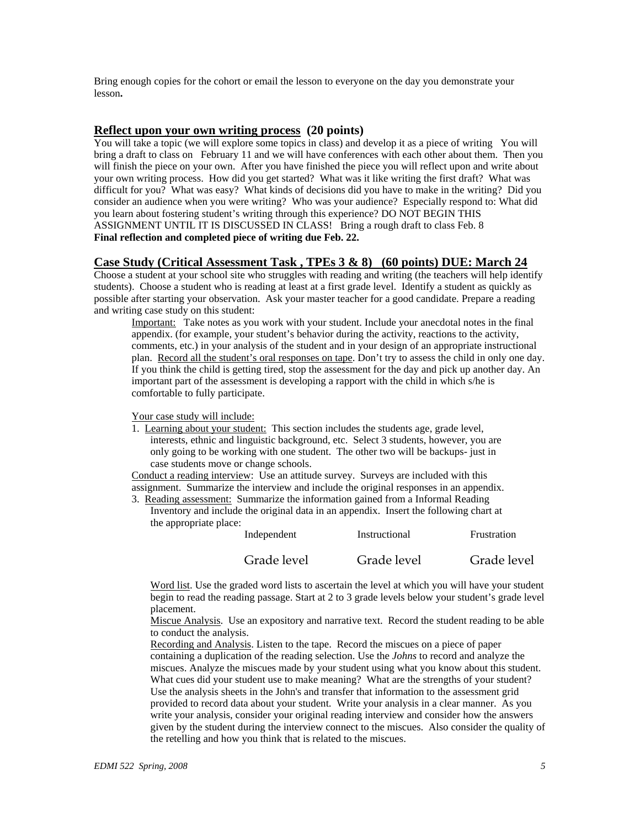Bring enough copies for the cohort or email the lesson to everyone on the day you demonstrate your lesson**.** 

**Reflect upon your own writing process (20 points)**<br>You will take a topic (we will explore some topics in class) and develop it as a piece of writing You will bring a draft to class on February 11 and we will have conferences with each other about them. Then you will finish the piece on your own. After you have finished the piece you will reflect upon and write about your own writing process. How did you get started? What was it like writing the first draft? What was difficult for you? What was easy? What kinds of decisions did you have to make in the writing? Did you consider an audience when you were writing? Who was your audience? Especially respond to: What did you learn about fostering student's writing through this experience? DO NOT BEGIN THIS ASSIGNMENT UNTIL IT IS DISCUSSED IN CLASS! Bring a rough draft to class Feb. 8 **Final reflection and completed piece of writing due Feb. 22.** 

#### **Case Study (Critical Assessment Task , TPEs 3 & 8) (60 points) DUE: March 24**

Choose a student at your school site who struggles with reading and writing (the teachers will help identify students). Choose a student who is reading at least at a first grade level. Identify a student as quickly as possible after starting your observation. Ask your master teacher for a good candidate. Prepare a reading and writing case study on this student:

Important: Take notes as you work with your student. Include your anecdotal notes in the final appendix. (for example, your student's behavior during the activity, reactions to the activity, comments, etc.) in your analysis of the student and in your design of an appropriate instructional plan. Record all the student's oral responses on tape. Don't try to assess the child in only one day. If you think the child is getting tired, stop the assessment for the day and pick up another day. An important part of the assessment is developing a rapport with the child in which s/he is comfortable to fully participate.

Your case study will include:

1. Learning about your student: This section includes the students age, grade level, interests, ethnic and linguistic background, etc. Select 3 students, however, you are only going to be working with one student. The other two will be backups- just in case students move or change schools.

Conduct a reading interview: Use an attitude survey. Surveys are included with this assignment. Summarize the interview and include the original responses in an appendix. 3. Reading assessment: Summarize the information gained from a Informal Reading

Inventory and include the original data in an appendix. Insert the following chart at the appropriate place:

| Independent | Instructional | Frustration |
|-------------|---------------|-------------|
| Grade level | Grade level   | Grade level |

Word list. Use the graded word lists to ascertain the level at which you will have your student begin to read the reading passage. Start at 2 to 3 grade levels below your student's grade level placement.

Miscue Analysis. Use an expository and narrative text. Record the student reading to be able to conduct the analysis.

Recording and Analysis. Listen to the tape. Record the miscues on a piece of paper containing a duplication of the reading selection. Use the *Johns* to record and analyze the miscues. Analyze the miscues made by your student using what you know about this student. What cues did your student use to make meaning? What are the strengths of your student? Use the analysis sheets in the John's and transfer that information to the assessment grid provided to record data about your student. Write your analysis in a clear manner. As you write your analysis, consider your original reading interview and consider how the answers given by the student during the interview connect to the miscues. Also consider the quality of the retelling and how you think that is related to the miscues.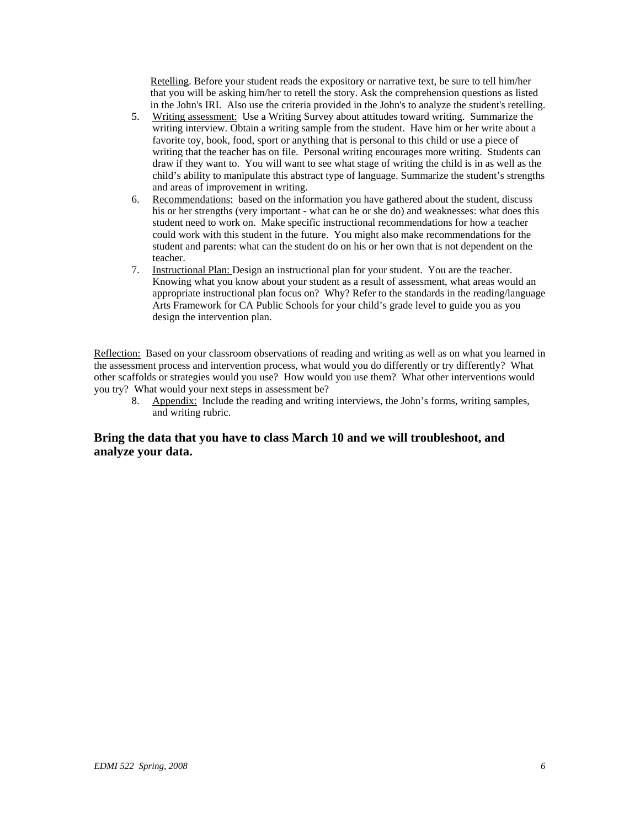Retelling. Before your student reads the expository or narrative text, be sure to tell him/her that you will be asking him/her to retell the story. Ask the comprehension questions as listed in the John's IRI. Also use the criteria provided in the John's to analyze the student's retelling.

- 5. Writing assessment: Use a Writing Survey about attitudes toward writing. Summarize the writing interview. Obtain a writing sample from the student. Have him or her write about a favorite toy, book, food, sport or anything that is personal to this child or use a piece of writing that the teacher has on file. Personal writing encourages more writing. Students can draw if they want to. You will want to see what stage of writing the child is in as well as the child's ability to manipulate this abstract type of language. Summarize the student's strengths and areas of improvement in writing.
- 6. Recommendations: based on the information you have gathered about the student, discuss his or her strengths (very important - what can he or she do) and weaknesses: what does this student need to work on. Make specific instructional recommendations for how a teacher could work with this student in the future. You might also make recommendations for the student and parents: what can the student do on his or her own that is not dependent on the teacher.
- 7. Instructional Plan: Design an instructional plan for your student. You are the teacher. Knowing what you know about your student as a result of assessment, what areas would an appropriate instructional plan focus on? Why? Refer to the standards in the reading/language Arts Framework for CA Public Schools for your child's grade level to guide you as you design the intervention plan.

Reflection: Based on your classroom observations of reading and writing as well as on what you learned in the assessment process and intervention process, what would you do differently or try differently? What other scaffolds or strategies would you use? How would you use them? What other interventions would you try? What would your next steps in assessment be?

8. Appendix: Include the reading and writing interviews, the John's forms, writing samples, and writing rubric.

# **Bring the data that you have to class March 10 and we will troubleshoot, and analyze your data.**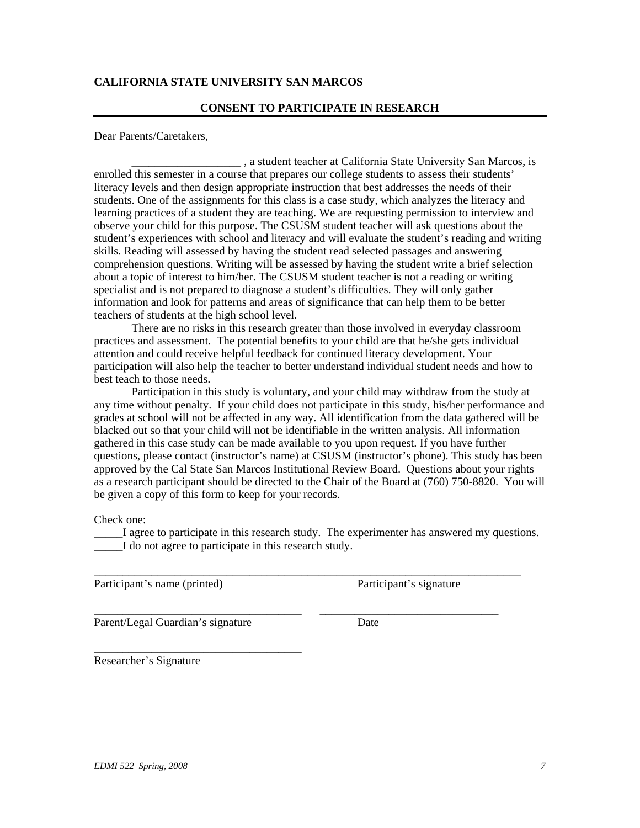# **CALIFORNIA STATE UNIVERSITY SAN MARCOS**

#### **CONSENT TO PARTICIPATE IN RESEARCH**

Dear Parents/Caretakers,

\_\_\_\_\_\_\_\_\_\_\_\_\_\_\_\_\_\_\_ , a student teacher at California State University San Marcos, is enrolled this semester in a course that prepares our college students to assess their students' literacy levels and then design appropriate instruction that best addresses the needs of their students. One of the assignments for this class is a case study, which analyzes the literacy and learning practices of a student they are teaching. We are requesting permission to interview and observe your child for this purpose. The CSUSM student teacher will ask questions about the student's experiences with school and literacy and will evaluate the student's reading and writing skills. Reading will assessed by having the student read selected passages and answering comprehension questions. Writing will be assessed by having the student write a brief selection about a topic of interest to him/her. The CSUSM student teacher is not a reading or writing specialist and is not prepared to diagnose a student's difficulties. They will only gather information and look for patterns and areas of significance that can help them to be better teachers of students at the high school level.

There are no risks in this research greater than those involved in everyday classroom practices and assessment. The potential benefits to your child are that he/she gets individual attention and could receive helpful feedback for continued literacy development. Your participation will also help the teacher to better understand individual student needs and how to best teach to those needs.

Participation in this study is voluntary, and your child may withdraw from the study at any time without penalty. If your child does not participate in this study, his/her performance and grades at school will not be affected in any way. All identification from the data gathered will be blacked out so that your child will not be identifiable in the written analysis. All information gathered in this case study can be made available to you upon request. If you have further questions, please contact (instructor's name) at CSUSM (instructor's phone). This study has been approved by the Cal State San Marcos Institutional Review Board. Questions about your rights as a research participant should be directed to the Chair of the Board at (760) 750-8820. You will be given a copy of this form to keep for your records.

Check one:

I agree to participate in this research study. The experimenter has answered my questions. \_\_\_\_\_I do not agree to participate in this research study.

\_\_\_\_\_\_\_\_\_\_\_\_\_\_\_\_\_\_\_\_\_\_\_\_\_\_\_\_\_\_\_\_\_\_\_\_\_\_\_\_\_\_\_\_\_\_\_\_\_\_\_\_\_\_\_\_\_\_\_\_\_\_\_\_\_\_\_\_\_\_\_\_\_\_

\_\_\_\_\_\_\_\_\_\_\_\_\_\_\_\_\_\_\_\_\_\_\_\_\_\_\_\_\_\_\_\_\_\_\_\_ \_\_\_\_\_\_\_\_\_\_\_\_\_\_\_\_\_\_\_\_\_\_\_\_\_\_\_\_\_\_\_

Participant's name (printed) Participant's signature

Parent/Legal Guardian's signature Date

\_\_\_\_\_\_\_\_\_\_\_\_\_\_\_\_\_\_\_\_\_\_\_\_\_\_\_\_\_\_\_\_\_\_\_\_ Researcher's Signature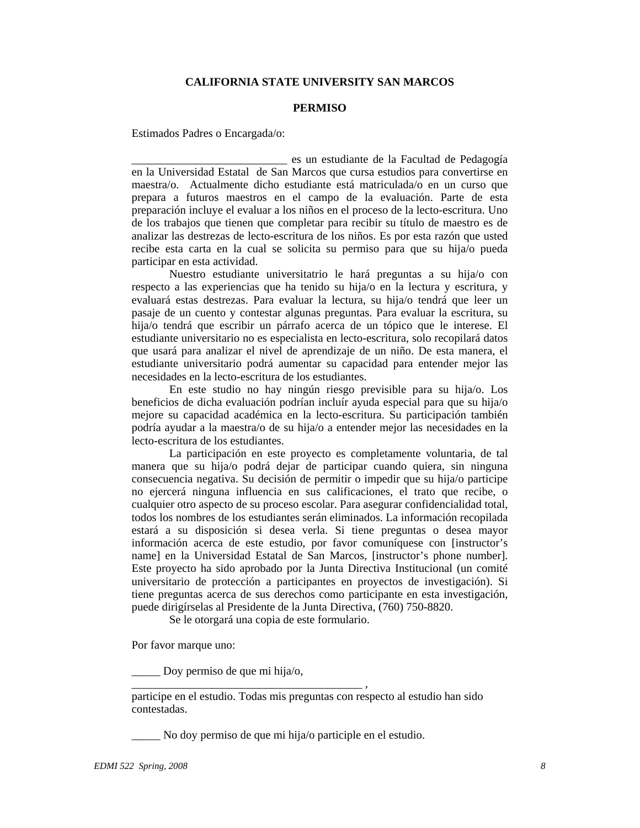# **CALIFORNIA STATE UNIVERSITY SAN MARCOS**

#### **PERMISO**

Estimados Padres o Encargada/o:

\_\_\_\_\_\_\_\_\_\_\_\_\_\_\_\_\_\_\_\_\_\_\_\_\_\_\_ es un estudiante de la Facultad de Pedagogía en la Universidad Estatal de San Marcos que cursa estudios para convertirse en maestra/o. Actualmente dicho estudiante está matriculada/o en un curso que prepara a futuros maestros en el campo de la evaluación. Parte de esta preparación incluye el evaluar a los niños en el proceso de la lecto-escritura. Uno de los trabajos que tienen que completar para recibir su título de maestro es de analizar las destrezas de lecto-escritura de los niños. Es por esta razón que usted recibe esta carta en la cual se solicita su permiso para que su hija/o pueda participar en esta actividad.

Nuestro estudiante universitatrio le hará preguntas a su hija/o con respecto a las experiencias que ha tenido su hija/o en la lectura y escritura, y evaluará estas destrezas. Para evaluar la lectura, su hija/o tendrá que leer un pasaje de un cuento y contestar algunas preguntas. Para evaluar la escritura, su hija/o tendrá que escribir un párrafo acerca de un tópico que le interese. El estudiante universitario no es especialista en lecto-escritura, solo recopilará datos que usará para analizar el nivel de aprendizaje de un niño. De esta manera, el estudiante universitario podrá aumentar su capacidad para entender mejor las necesidades en la lecto-escritura de los estudiantes.

En este studio no hay ningún riesgo previsible para su hija/o. Los beneficios de dicha evaluación podrían incluír ayuda especial para que su hija/o mejore su capacidad académica en la lecto-escritura. Su participación también podría ayudar a la maestra/o de su hija/o a entender mejor las necesidades en la lecto-escritura de los estudiantes.

La participación en este proyecto es completamente voluntaria, de tal manera que su hija/o podrá dejar de participar cuando quiera, sin ninguna consecuencia negativa. Su decisión de permitir o impedir que su hija/o participe no ejercerá ninguna influencia en sus calificaciones, el trato que recibe, o cualquier otro aspecto de su proceso escolar. Para asegurar confidencialidad total, todos los nombres de los estudiantes serán eliminados. La información recopilada estará a su disposición si desea verla. Si tiene preguntas o desea mayor información acerca de este estudio, por favor comuníquese con [instructor's name] en la Universidad Estatal de San Marcos, [instructor's phone number]. Este proyecto ha sido aprobado por la Junta Directiva Institucional (un comité universitario de protección a participantes en proyectos de investigación). Si tiene preguntas acerca de sus derechos como participante en esta investigación, puede dirigírselas al Presidente de la Junta Directiva, (760) 750-8820.

Se le otorgará una copia de este formulario.

\_\_\_\_\_\_\_\_\_\_\_\_\_\_\_\_\_\_\_\_\_\_\_\_\_\_\_\_\_\_\_\_\_\_\_\_\_\_\_\_ ,

Por favor marque uno:

\_\_\_\_\_ Doy permiso de que mi hija/o,

participe en el estudio. Todas mis preguntas con respecto al estudio han sido contestadas.

\_\_\_\_\_ No doy permiso de que mi hija/o participle en el estudio.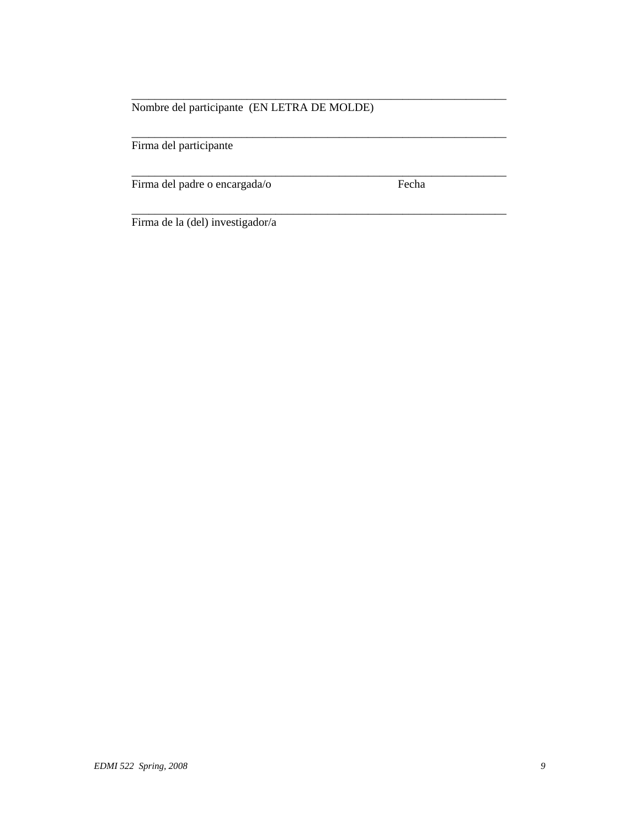# Nombre del participante (EN LETRA DE MOLDE)

\_\_\_\_\_\_\_\_\_\_\_\_\_\_\_\_\_\_\_\_\_\_\_\_\_\_\_\_\_\_\_\_\_\_\_\_\_\_\_\_\_\_\_\_\_\_\_\_\_\_\_\_\_\_\_\_\_\_\_\_\_\_\_\_\_

\_\_\_\_\_\_\_\_\_\_\_\_\_\_\_\_\_\_\_\_\_\_\_\_\_\_\_\_\_\_\_\_\_\_\_\_\_\_\_\_\_\_\_\_\_\_\_\_\_\_\_\_\_\_\_\_\_\_\_\_\_\_\_\_\_

\_\_\_\_\_\_\_\_\_\_\_\_\_\_\_\_\_\_\_\_\_\_\_\_\_\_\_\_\_\_\_\_\_\_\_\_\_\_\_\_\_\_\_\_\_\_\_\_\_\_\_\_\_\_\_\_\_\_\_\_\_\_\_\_\_

\_\_\_\_\_\_\_\_\_\_\_\_\_\_\_\_\_\_\_\_\_\_\_\_\_\_\_\_\_\_\_\_\_\_\_\_\_\_\_\_\_\_\_\_\_\_\_\_\_\_\_\_\_\_\_\_\_\_\_\_\_\_\_\_\_

Firma del participante

Firma del padre o encargada/o Fecha

Firma de la (del) investigador/a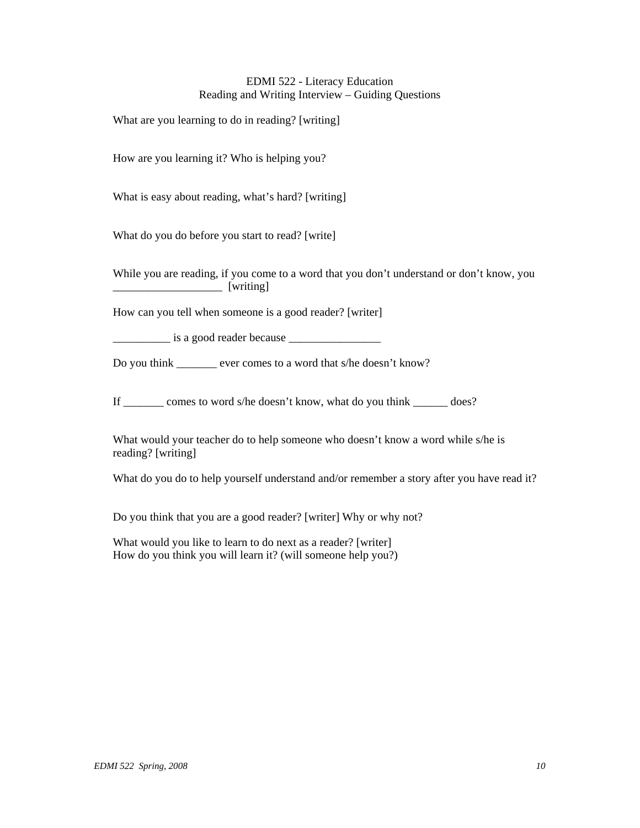### EDMI 522 - Literacy Education Reading and Writing Interview – Guiding Questions

What are you learning to do in reading? [writing]

How are you learning it? Who is helping you?

What is easy about reading, what's hard? [writing]

What do you do before you start to read? [write]

While you are reading, if you come to a word that you don't understand or don't know, you \_\_\_\_\_\_\_\_\_\_\_\_\_\_\_\_\_\_\_ [writing]

How can you tell when someone is a good reader? [writer]

 $\frac{1}{1}$  is a good reader because

Do you think ever comes to a word that s/he doesn't know?

If \_\_\_\_\_\_\_ comes to word s/he doesn't know, what do you think \_\_\_\_\_\_ does?

What would your teacher do to help someone who doesn't know a word while s/he is reading? [writing]

What do you do to help yourself understand and/or remember a story after you have read it?

Do you think that you are a good reader? [writer] Why or why not?

What would you like to learn to do next as a reader? [writer] How do you think you will learn it? (will someone help you?)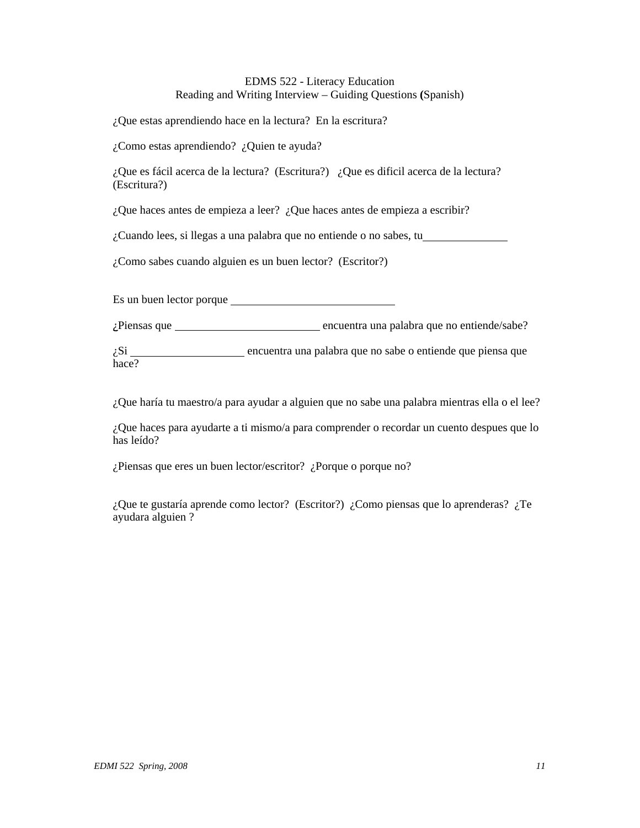# EDMS 522 - Literacy Education Reading and Writing Interview – Guiding Questions **(**Spanish)

¿Que estas aprendiendo hace en la lectura? En la escritura?

¿Como estas aprendiendo? ¿Quien te ayuda?

¿Que es fácil acerca de la lectura? (Escritura?) ¿Que es dificil acerca de la lectura? (Escritura?)

¿Que haces antes de empieza a leer? ¿Que haces antes de empieza a escribir?

¿Cuando lees, si llegas a una palabra que no entiende o no sabes, tu

¿Como sabes cuando alguien es un buen lector? (Escritor?)

Es un buen lector porque

¿Piensas que encuentra una palabra que no entiende/sabe?

 $i$ Si encuentra una palabra que no sabe o entiende que piensa que hace?

¿Que haría tu maestro/a para ayudar a alguien que no sabe una palabra mientras ella o el lee?

¿Que haces para ayudarte a ti mismo/a para comprender o recordar un cuento despues que lo has leído?

¿Piensas que eres un buen lector/escritor? ¿Porque o porque no?

¿Que te gustaría aprende como lector? (Escritor?) ¿Como piensas que lo aprenderas? ¿Te ayudara alguien ?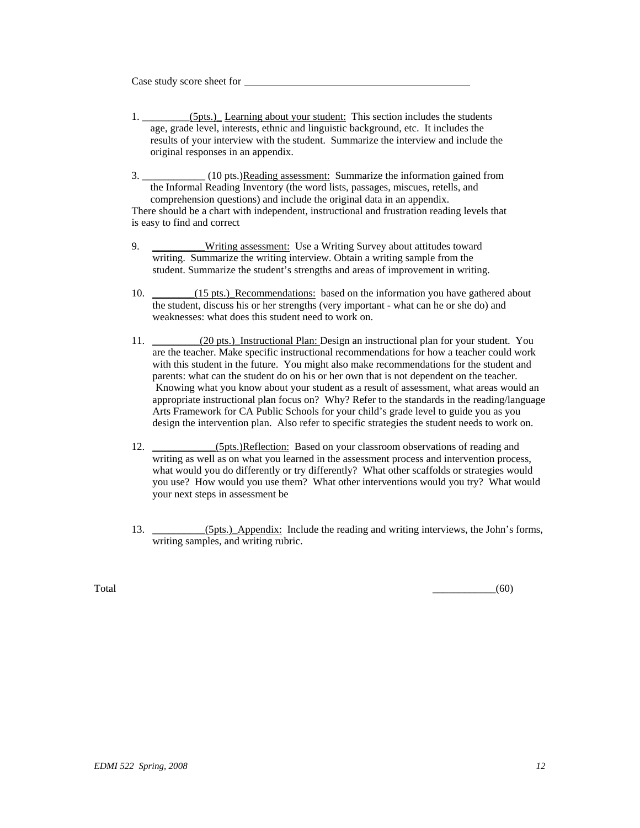Case study score sheet for

- 1. \_\_\_\_\_\_\_\_\_(5pts.)\_ Learning about your student: This section includes the students age, grade level, interests, ethnic and linguistic background, etc. It includes the results of your interview with the student. Summarize the interview and include the original responses in an appendix.
- 3. \_\_\_\_\_\_\_\_\_\_\_\_ (10 pts.)Reading assessment: Summarize the information gained from the Informal Reading Inventory (the word lists, passages, miscues, retells, and comprehension questions) and include the original data in an appendix. There should be a chart with independent, instructional and frustration reading levels that is easy to find and correct
- 9. \_\_\_\_\_\_\_\_\_Writing assessment: Use a Writing Survey about attitudes toward writing. Summarize the writing interview. Obtain a writing sample from the student. Summarize the student's strengths and areas of improvement in writing.
- 10. \_\_\_\_\_\_(15 pts.)\_Recommendations: based on the information you have gathered about the student, discuss his or her strengths (very important - what can he or she do) and weaknesses: what does this student need to work on.
- 11. (20 pts.) Instructional Plan: Design an instructional plan for your student. You are the teacher. Make specific instructional recommendations for how a teacher could work with this student in the future. You might also make recommendations for the student and parents: what can the student do on his or her own that is not dependent on the teacher. Knowing what you know about your student as a result of assessment, what areas would an appropriate instructional plan focus on? Why? Refer to the standards in the reading/language Arts Framework for CA Public Schools for your child's grade level to guide you as you design the intervention plan. Also refer to specific strategies the student needs to work on.
- 12. \_\_\_\_\_\_\_\_\_\_\_\_(5pts.)Reflection: Based on your classroom observations of reading and writing as well as on what you learned in the assessment process and intervention process, what would you do differently or try differently? What other scaffolds or strategies would you use? How would you use them? What other interventions would you try? What would your next steps in assessment be
- 13. \_\_\_\_\_\_\_\_\_\_(5pts.)\_Appendix: Include the reading and writing interviews, the John's forms, writing samples, and writing rubric.

 $\overline{\text{Total}}$  (60)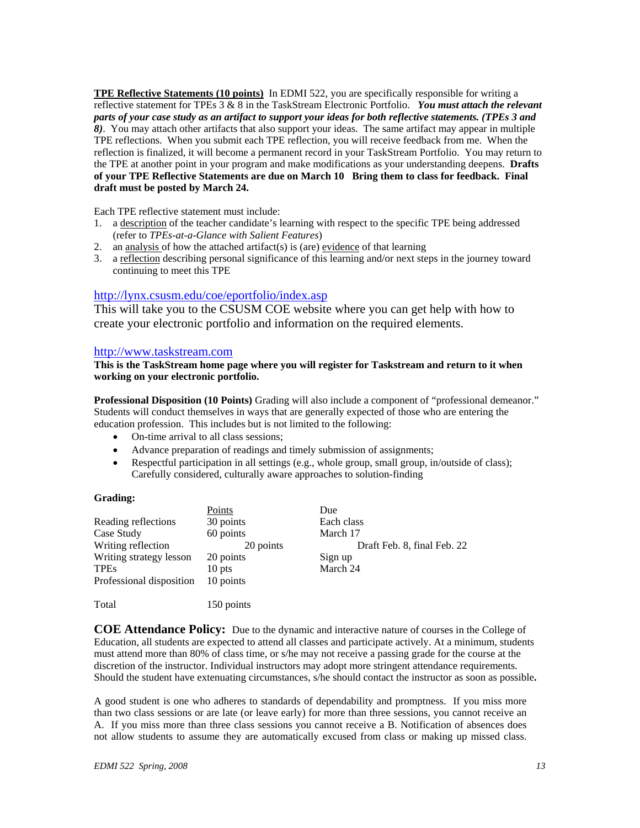**TPE Reflective Statements (10 points)** In EDMI 522, you are specifically responsible for writing a reflective statement for TPEs 3 & 8 in the TaskStream Electronic Portfolio. *You must attach the relevant parts of your case study as an artifact to support your ideas for both reflective statements. (TPEs 3 and 8)*. You may attach other artifacts that also support your ideas. The same artifact may appear in multiple TPE reflections. When you submit each TPE reflection, you will receive feedback from me. When the reflection is finalized, it will become a permanent record in your TaskStream Portfolio. You may return to the TPE at another point in your program and make modifications as your understanding deepens. **Drafts of your TPE Reflective Statements are due on March 10 Bring them to class for feedback. Final draft must be posted by March 24.**

Each TPE reflective statement must include:

- 1. a description of the teacher candidate's learning with respect to the specific TPE being addressed (refer to *TPEs-at-a-Glance with Salient Features*)
- 2. an analysis of how the attached artifact(s) is (are) evidence of that learning
- 3. a reflection describing personal significance of this learning and/or next steps in the journey toward continuing to meet this TPE

# http://lynx.csusm.edu/coe/eportfolio/index.asp

This will take you to the CSUSM COE website where you can get help with how to create your electronic portfolio and information on the required elements.

#### http://www.taskstream.com

#### **This is the TaskStream home page where you will register for Taskstream and return to it when working on your electronic portfolio.**

**Professional Disposition (10 Points)** Grading will also include a component of "professional demeanor." Students will conduct themselves in ways that are generally expected of those who are entering the education profession. This includes but is not limited to the following:

- On-time arrival to all class sessions;
- Advance preparation of readings and timely submission of assignments;
- Respectful participation in all settings (e.g., whole group, small group, in/outside of class); Carefully considered, culturally aware approaches to solution-finding

#### **Grading:**

|                          | Points     | Due                         |
|--------------------------|------------|-----------------------------|
| Reading reflections      | 30 points  | Each class                  |
| Case Study               | 60 points  | March 17                    |
| Writing reflection       | 20 points  | Draft Feb. 8, final Feb. 22 |
| Writing strategy lesson  | 20 points  | Sign up                     |
| <b>TPEs</b>              | 10 pts     | March 24                    |
| Professional disposition | 10 points  |                             |
|                          |            |                             |
| Total                    | 150 points |                             |

**COE Attendance Policy:** Due to the dynamic and interactive nature of courses in the College of Education, all students are expected to attend all classes and participate actively. At a minimum, students must attend more than 80% of class time, or s/he may not receive a passing grade for the course at the discretion of the instructor. Individual instructors may adopt more stringent attendance requirements. Should the student have extenuating circumstances, s/he should contact the instructor as soon as possible**.** 

A good student is one who adheres to standards of dependability and promptness. If you miss more than two class sessions or are late (or leave early) for more than three sessions, you cannot receive an A. If you miss more than three class sessions you cannot receive a B. Notification of absences does not allow students to assume they are automatically excused from class or making up missed class.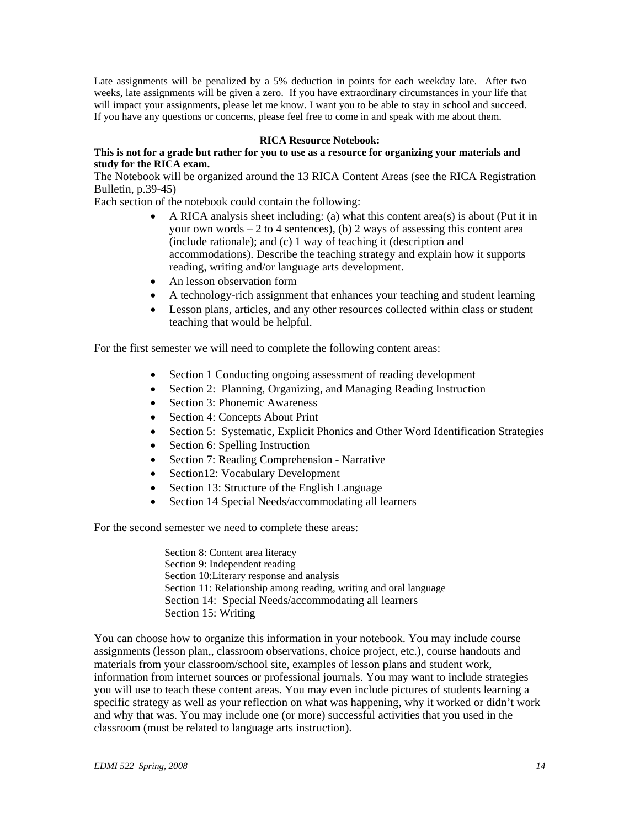Late assignments will be penalized by a 5% deduction in points for each weekday late. After two weeks, late assignments will be given a zero. If you have extraordinary circumstances in your life that will impact your assignments, please let me know. I want you to be able to stay in school and succeed. If you have any questions or concerns, please feel free to come in and speak with me about them.

#### **RICA Resource Notebook:**

#### **This is not for a grade but rather for you to use as a resource for organizing your materials and study for the RICA exam.**

The Notebook will be organized around the 13 RICA Content Areas (see the RICA Registration Bulletin, p.39-45)

Each section of the notebook could contain the following:

- A RICA analysis sheet including: (a) what this content area(s) is about (Put it in your own words  $-2$  to 4 sentences), (b) 2 ways of assessing this content area (include rationale); and (c) 1 way of teaching it (description and accommodations). Describe the teaching strategy and explain how it supports reading, writing and/or language arts development.
- An lesson observation form
- A technology-rich assignment that enhances your teaching and student learning
- Lesson plans, articles, and any other resources collected within class or student teaching that would be helpful.

For the first semester we will need to complete the following content areas:

- Section 1 Conducting ongoing assessment of reading development
- Section 2: Planning, Organizing, and Managing Reading Instruction
- Section 3: Phonemic Awareness
- Section 4: Concepts About Print
- Section 5: Systematic, Explicit Phonics and Other Word Identification Strategies
- Section 6: Spelling Instruction
- Section 7: Reading Comprehension Narrative
- Section12: Vocabulary Development
- Section 13: Structure of the English Language
- Section 14 Special Needs/accommodating all learners

For the second semester we need to complete these areas:

Section 8: Content area literacy Section 9: Independent reading Section 10:Literary response and analysis Section 11: Relationship among reading, writing and oral language Section 14: Special Needs/accommodating all learners Section 15: Writing

You can choose how to organize this information in your notebook. You may include course assignments (lesson plan,, classroom observations, choice project, etc.), course handouts and materials from your classroom/school site, examples of lesson plans and student work, information from internet sources or professional journals. You may want to include strategies you will use to teach these content areas. You may even include pictures of students learning a specific strategy as well as your reflection on what was happening, why it worked or didn't work and why that was. You may include one (or more) successful activities that you used in the classroom (must be related to language arts instruction).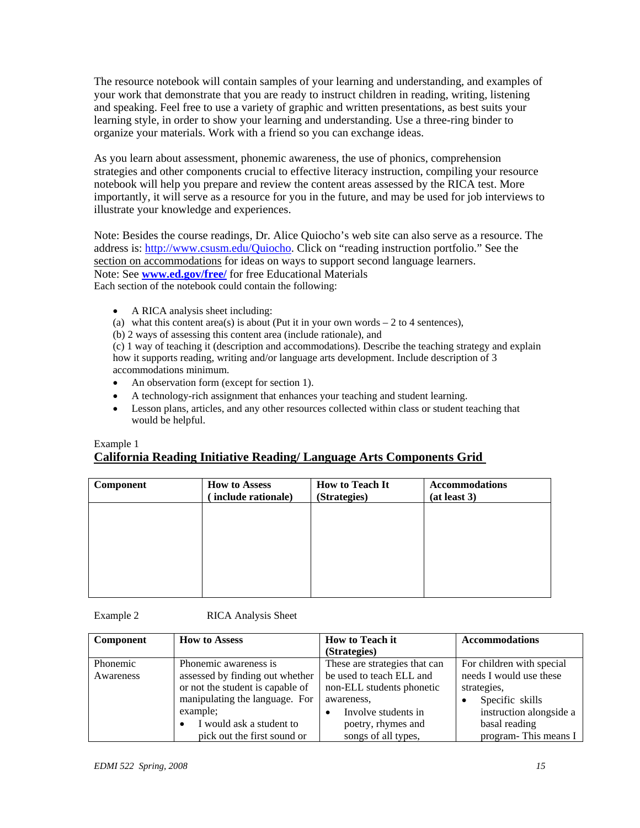The resource notebook will contain samples of your learning and understanding, and examples of your work that demonstrate that you are ready to instruct children in reading, writing, listening and speaking. Feel free to use a variety of graphic and written presentations, as best suits your learning style, in order to show your learning and understanding. Use a three-ring binder to organize your materials. Work with a friend so you can exchange ideas.

As you learn about assessment, phonemic awareness, the use of phonics, comprehension strategies and other components crucial to effective literacy instruction, compiling your resource notebook will help you prepare and review the content areas assessed by the RICA test. More importantly, it will serve as a resource for you in the future, and may be used for job interviews to illustrate your knowledge and experiences.

Note: Besides the course readings, Dr. Alice Quiocho's web site can also serve as a resource. The address is: http://www.csusm.edu/Quiocho. Click on "reading instruction portfolio." See the section on accommodations for ideas on ways to support second language learners. Note: See **www.ed.gov/free/** for free Educational Materials Each section of the notebook could contain the following:

- A RICA analysis sheet including:
- (a) what this content area(s) is about (Put it in your own words  $-2$  to 4 sentences),
- (b) 2 ways of assessing this content area (include rationale), and

(c) 1 way of teaching it (description and accommodations). Describe the teaching strategy and explain how it supports reading, writing and/or language arts development. Include description of 3 accommodations minimum.

- An observation form (except for section 1).
- A technology-rich assignment that enhances your teaching and student learning.
- Lesson plans, articles, and any other resources collected within class or student teaching that would be helpful.

# Example 1 **California Reading Initiative Reading/ Language Arts Components Grid**

| Component | <b>How to Assess</b><br>include rationale) | <b>How to Teach It</b><br>(Strategies) | <b>Accommodations</b><br>(at least 3) |
|-----------|--------------------------------------------|----------------------------------------|---------------------------------------|
|           |                                            |                                        |                                       |
|           |                                            |                                        |                                       |
|           |                                            |                                        |                                       |
|           |                                            |                                        |                                       |

Example 2 RICA Analysis Sheet

| Component | <b>How to Assess</b>                  | <b>How to Teach it</b>        | <b>Accommodations</b>     |
|-----------|---------------------------------------|-------------------------------|---------------------------|
|           |                                       | (Strategies)                  |                           |
| Phonemic  | Phonemic awareness is                 | These are strategies that can | For children with special |
| Awareness | assessed by finding out whether       | be used to teach ELL and      | needs I would use these   |
|           | or not the student is capable of      | non-ELL students phonetic     | strategies,               |
|           | manipulating the language. For        | awareness,                    | Specific skills           |
|           | example:                              | Involve students in           | instruction alongside a   |
|           | I would ask a student to<br>$\bullet$ | poetry, rhymes and            | basal reading             |
|           | pick out the first sound or           | songs of all types,           | program-This means I      |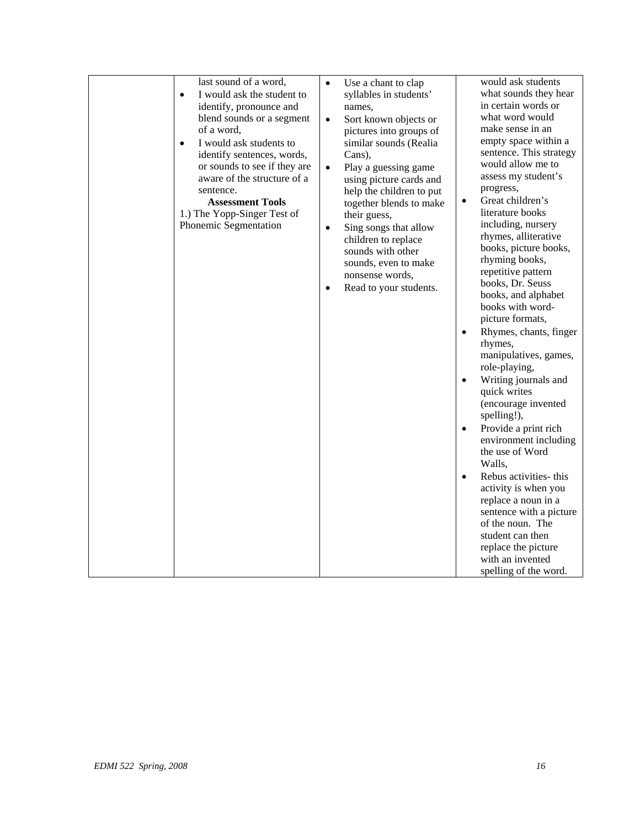| last sound of a word,<br>I would ask the student to<br>identify, pronounce and<br>blend sounds or a segment<br>of a word,<br>I would ask students to<br>$\bullet$<br>identify sentences, words,<br>or sounds to see if they are<br>aware of the structure of a<br>sentence.<br><b>Assessment Tools</b><br>1.) The Yopp-Singer Test of<br>Phonemic Segmentation | Use a chant to clap<br>$\bullet$<br>syllables in students'<br>names,<br>Sort known objects or<br>$\bullet$<br>pictures into groups of<br>similar sounds (Realia<br>Cans),<br>Play a guessing game<br>$\bullet$<br>using picture cards and<br>help the children to put<br>together blends to make<br>their guess,<br>Sing songs that allow<br>$\bullet$<br>children to replace<br>sounds with other<br>sounds, even to make<br>nonsense words,<br>Read to your students.<br>$\bullet$ | would ask students<br>what sounds they hear<br>in certain words or<br>what word would<br>make sense in an<br>empty space within a<br>sentence. This strategy<br>would allow me to<br>assess my student's<br>progress,<br>Great children's<br>$\bullet$<br>literature books<br>including, nursery<br>rhymes, alliterative<br>books, picture books,<br>rhyming books,<br>repetitive pattern<br>books, Dr. Seuss<br>books, and alphabet<br>books with word-<br>picture formats,<br>Rhymes, chants, finger<br>$\bullet$<br>rhymes,<br>manipulatives, games,<br>role-playing,<br>Writing journals and<br>$\bullet$<br>quick writes<br>(encourage invented<br>spelling!),<br>Provide a print rich<br>$\bullet$<br>environment including<br>the use of Word<br>Walls,<br>Rebus activities- this<br>$\bullet$<br>activity is when you<br>replace a noun in a<br>sentence with a picture<br>of the noun. The<br>student can then<br>replace the picture |
|----------------------------------------------------------------------------------------------------------------------------------------------------------------------------------------------------------------------------------------------------------------------------------------------------------------------------------------------------------------|--------------------------------------------------------------------------------------------------------------------------------------------------------------------------------------------------------------------------------------------------------------------------------------------------------------------------------------------------------------------------------------------------------------------------------------------------------------------------------------|------------------------------------------------------------------------------------------------------------------------------------------------------------------------------------------------------------------------------------------------------------------------------------------------------------------------------------------------------------------------------------------------------------------------------------------------------------------------------------------------------------------------------------------------------------------------------------------------------------------------------------------------------------------------------------------------------------------------------------------------------------------------------------------------------------------------------------------------------------------------------------------------------------------------------------------------|
|                                                                                                                                                                                                                                                                                                                                                                |                                                                                                                                                                                                                                                                                                                                                                                                                                                                                      | with an invented<br>spelling of the word.                                                                                                                                                                                                                                                                                                                                                                                                                                                                                                                                                                                                                                                                                                                                                                                                                                                                                                      |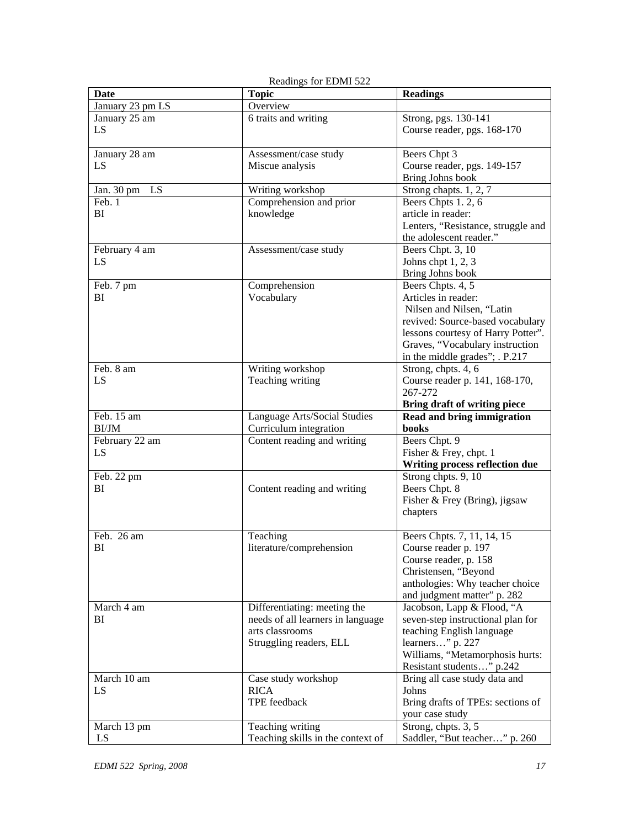| <b>Date</b>          | <b>Topic</b>                      | <b>Readings</b>                         |
|----------------------|-----------------------------------|-----------------------------------------|
| January 23 pm LS     | Overview                          |                                         |
| January 25 am        | 6 traits and writing              | Strong, pgs. 130-141                    |
| LS                   |                                   | Course reader, pgs. 168-170             |
|                      |                                   |                                         |
| January 28 am        | Assessment/case study             | Beers Chpt 3                            |
| LS                   | Miscue analysis                   | Course reader, pgs. 149-157             |
|                      |                                   | Bring Johns book                        |
| Jan. 30 pm<br>LS     | Writing workshop                  | Strong chapts. 1, 2, 7                  |
| Feb. 1               | Comprehension and prior           | Beers Chpts 1.2, 6                      |
| BI                   | knowledge                         | article in reader:                      |
|                      |                                   | Lenters, "Resistance, struggle and      |
|                      |                                   | the adolescent reader."                 |
| February 4 am        | Assessment/case study             | Beers Chpt. 3, 10                       |
| LS                   |                                   | Johns chpt $1, 2, 3$                    |
|                      |                                   | Bring Johns book                        |
| Feb. 7 pm            | Comprehension                     | Beers Chpts. 4, 5                       |
| BI                   | Vocabulary                        | Articles in reader:                     |
|                      |                                   | Nilsen and Nilsen, "Latin               |
|                      |                                   | revived: Source-based vocabulary        |
|                      |                                   | lessons courtesy of Harry Potter".      |
|                      |                                   | Graves, "Vocabulary instruction         |
|                      |                                   | in the middle grades"; . P.217          |
| Feb. 8 am            | Writing workshop                  | Strong, chpts. 4, 6                     |
| LS                   | Teaching writing                  | Course reader p. 141, 168-170,          |
|                      |                                   | 267-272                                 |
|                      |                                   | Bring draft of writing piece            |
| Feb. 15 am           | Language Arts/Social Studies      | Read and bring immigration              |
| BI/JM                | Curriculum integration            | books                                   |
| February 22 am<br>LS | Content reading and writing       | Beers Chpt. 9<br>Fisher & Frey, chpt. 1 |
|                      |                                   | Writing process reflection due          |
| Feb. 22 pm           |                                   | Strong chpts. 9, 10                     |
| BI                   | Content reading and writing       | Beers Chpt. 8                           |
|                      |                                   | Fisher & Frey (Bring), jigsaw           |
|                      |                                   | chapters                                |
|                      |                                   |                                         |
| Feb. 26 am           | Teaching                          | Beers Chpts. 7, 11, 14, 15              |
| BI                   | literature/comprehension          | Course reader p. 197                    |
|                      |                                   | Course reader, p. 158                   |
|                      |                                   | Christensen, "Beyond                    |
|                      |                                   | anthologies: Why teacher choice         |
|                      |                                   | and judgment matter" p. 282             |
| March 4 am           | Differentiating: meeting the      | Jacobson, Lapp & Flood, "A              |
| BI                   | needs of all learners in language | seven-step instructional plan for       |
|                      | arts classrooms                   | teaching English language               |
|                      | Struggling readers, ELL           | learners" p. 227                        |
|                      |                                   | Williams, "Metamorphosis hurts:         |
|                      |                                   | Resistant students" p.242               |
| March 10 am          | Case study workshop               | Bring all case study data and           |
| LS                   | <b>RICA</b>                       | Johns                                   |
|                      | TPE feedback                      | Bring drafts of TPEs: sections of       |
|                      |                                   | your case study                         |
| March 13 pm          | Teaching writing                  | Strong, chpts. 3, 5                     |
| LS                   | Teaching skills in the context of | Saddler, "But teacher" p. 260           |

|  |  | Readings for EDMI 522 |  |
|--|--|-----------------------|--|
|--|--|-----------------------|--|